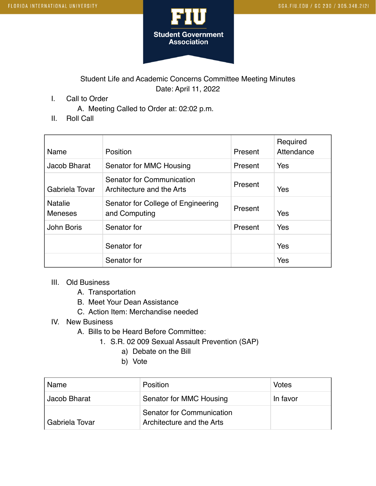

## Student Life and Academic Concerns Committee Meeting Minutes Date: April 11, 2022

I. Call to Order

A. Meeting Called to Order at: 02:02 p.m.

II. Roll Call

| Name                             | Position                                               | Present | Required<br>Attendance |
|----------------------------------|--------------------------------------------------------|---------|------------------------|
| Jacob Bharat                     | Senator for MMC Housing                                | Present | Yes                    |
| Gabriela Tovar                   | Senator for Communication<br>Architecture and the Arts | Present | Yes                    |
| <b>Natalie</b><br><b>Meneses</b> | Senator for College of Engineering<br>and Computing    | Present | Yes                    |
| John Boris                       | Senator for                                            | Present | Yes                    |
|                                  | Senator for                                            |         | Yes                    |
|                                  | Senator for                                            |         | Yes                    |

## III. Old Business

- A. Transportation
- B. Meet Your Dean Assistance
- C. Action Item: Merchandise needed

## IV. New Business

- A. Bills to be Heard Before Committee:
	- 1. S.R. 02 009 Sexual Assault Prevention (SAP)
		- a) Debate on the Bill
		- b) Vote

| Name           | <b>Position</b>                                        | Votes    |
|----------------|--------------------------------------------------------|----------|
| Jacob Bharat   | Senator for MMC Housing                                | In favor |
| Gabriela Tovar | Senator for Communication<br>Architecture and the Arts |          |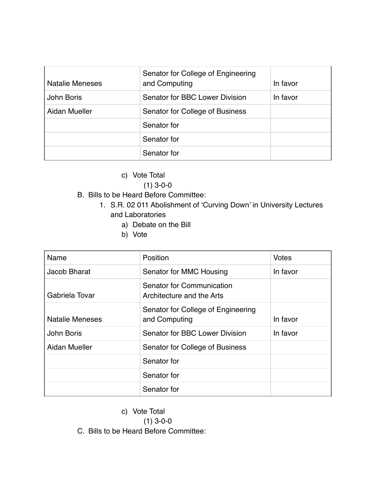| <b>Natalie Meneses</b> | Senator for College of Engineering<br>and Computing | In favor |
|------------------------|-----------------------------------------------------|----------|
| John Boris             | Senator for BBC Lower Division                      | In favor |
| Aidan Mueller          | Senator for College of Business                     |          |
|                        | Senator for                                         |          |
|                        | Senator for                                         |          |
|                        | Senator for                                         |          |

- c) Vote Total
	- (1) 3-0-0
- B. Bills to be Heard Before Committee:
	- 1. S.R. 02 011 Abolishment of 'Curving Down' in University Lectures and Laboratories
		- a) Debate on the Bill
		- b) Vote

| Name                   | Position                                               | <b>Votes</b> |
|------------------------|--------------------------------------------------------|--------------|
| Jacob Bharat           | Senator for MMC Housing                                | In favor     |
| Gabriela Tovar         | Senator for Communication<br>Architecture and the Arts |              |
| <b>Natalie Meneses</b> | Senator for College of Engineering<br>and Computing    | In favor     |
| John Boris             | Senator for BBC Lower Division                         | In favor     |
| Aidan Mueller          | Senator for College of Business                        |              |
|                        | Senator for                                            |              |
|                        | Senator for                                            |              |
|                        | Senator for                                            |              |

c) Vote Total

(1) 3-0-0

C. Bills to be Heard Before Committee: